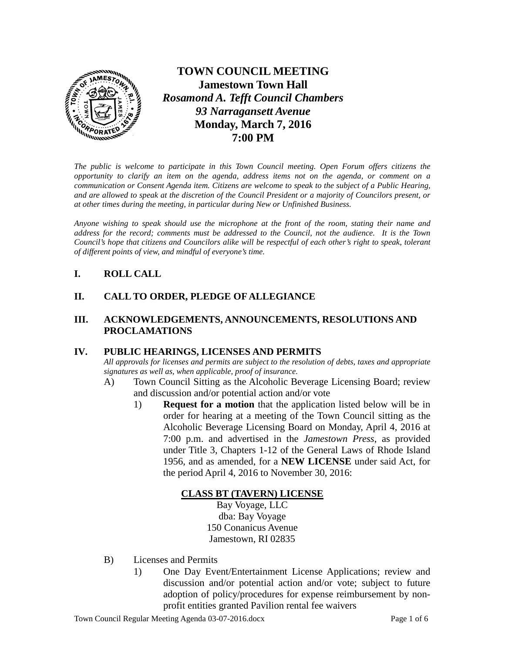

**TOWN COUNCIL MEETING Jamestown Town Hall** *Rosamond A. Tefft Council Chambers 93 Narragansett Avenue* **Monday, March 7, 2016 7:00 PM**

*The public is welcome to participate in this Town Council meeting. Open Forum offers citizens the opportunity to clarify an item on the agenda, address items not on the agenda, or comment on a communication or Consent Agenda item. Citizens are welcome to speak to the subject of a Public Hearing, and are allowed to speak at the discretion of the Council President or a majority of Councilors present, or at other times during the meeting, in particular during New or Unfinished Business.* 

*Anyone wishing to speak should use the microphone at the front of the room, stating their name and address for the record; comments must be addressed to the Council, not the audience. It is the Town Council's hope that citizens and Councilors alike will be respectful of each other's right to speak, tolerant of different points of view, and mindful of everyone's time.*

# **I. ROLL CALL**

# **II. CALL TO ORDER, PLEDGE OF ALLEGIANCE**

### **III. ACKNOWLEDGEMENTS, ANNOUNCEMENTS, RESOLUTIONS AND PROCLAMATIONS**

### **IV. PUBLIC HEARINGS, LICENSES AND PERMITS**

*All approvals for licenses and permits are subject to the resolution of debts, taxes and appropriate signatures as well as, when applicable, proof of insurance.*

- A) Town Council Sitting as the Alcoholic Beverage Licensing Board; review and discussion and/or potential action and/or vote
	- 1) **Request for a motion** that the application listed below will be in order for hearing at a meeting of the Town Council sitting as the Alcoholic Beverage Licensing Board on Monday, April 4, 2016 at 7:00 p.m. and advertised in the *Jamestown Press*, as provided under Title 3, Chapters 1-12 of the General Laws of Rhode Island 1956, and as amended, for a **NEW LICENSE** under said Act, for the period April 4, 2016 to November 30, 2016:

# **CLASS BT (TAVERN) LICENSE**

Bay Voyage, LLC dba: Bay Voyage 150 Conanicus Avenue Jamestown, RI 02835

- B) Licenses and Permits
	- 1) One Day Event/Entertainment License Applications; review and discussion and/or potential action and/or vote; subject to future adoption of policy/procedures for expense reimbursement by nonprofit entities granted Pavilion rental fee waivers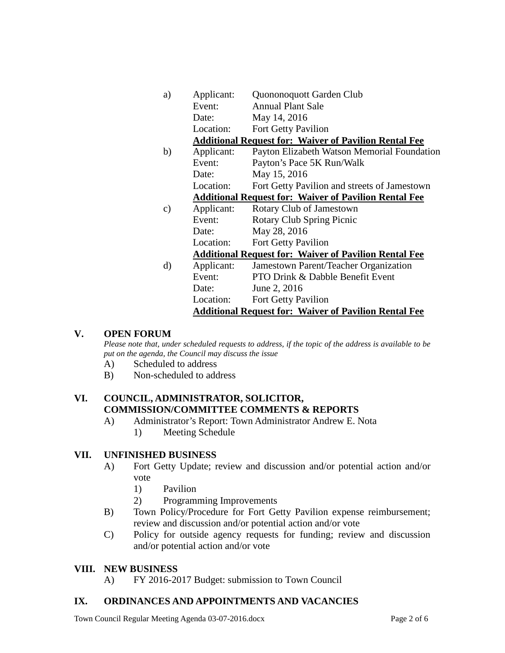| a) | Applicant:                                                   | Quononoquott Garden Club                                     |
|----|--------------------------------------------------------------|--------------------------------------------------------------|
|    | Event:                                                       | <b>Annual Plant Sale</b>                                     |
|    | Date:                                                        | May 14, 2016                                                 |
|    | Location:                                                    | Fort Getty Pavilion                                          |
|    |                                                              | <b>Additional Request for: Waiver of Pavilion Rental Fee</b> |
| b) | Applicant:                                                   | Payton Elizabeth Watson Memorial Foundation                  |
|    | Event:                                                       | Payton's Pace 5K Run/Walk                                    |
|    | Date:                                                        | May 15, 2016                                                 |
|    | Location:                                                    | Fort Getty Pavilion and streets of Jamestown                 |
|    |                                                              | <b>Additional Request for: Waiver of Pavilion Rental Fee</b> |
| C) | Applicant:                                                   | Rotary Club of Jamestown                                     |
|    | Event:                                                       | Rotary Club Spring Picnic                                    |
|    | Date:                                                        | May 28, 2016                                                 |
|    | Location:                                                    | Fort Getty Pavilion                                          |
|    |                                                              | <b>Additional Request for: Waiver of Pavilion Rental Fee</b> |
| d) | Applicant:                                                   | Jamestown Parent/Teacher Organization                        |
|    | Event:                                                       | PTO Drink & Dabble Benefit Event                             |
|    | Date:                                                        | June 2, 2016                                                 |
|    | Location:                                                    | <b>Fort Getty Pavilion</b>                                   |
|    | <b>Additional Request for: Waiver of Pavilion Rental Fee</b> |                                                              |

### **V. OPEN FORUM**

*Please note that, under scheduled requests to address, if the topic of the address is available to be put on the agenda, the Council may discuss the issue*

- A) Scheduled to address
- B) Non-scheduled to address

# **VI. COUNCIL, ADMINISTRATOR, SOLICITOR, COMMISSION/COMMITTEE COMMENTS & REPORTS**

A) Administrator's Report: Town Administrator Andrew E. Nota 1) Meeting Schedule

### **VII. UNFINISHED BUSINESS**

- A) Fort Getty Update; review and discussion and/or potential action and/or vote
	- 1) Pavilion
	- 2) Programming Improvements
- B) Town Policy/Procedure for Fort Getty Pavilion expense reimbursement; review and discussion and/or potential action and/or vote
- C) Policy for outside agency requests for funding; review and discussion and/or potential action and/or vote

#### **VIII. NEW BUSINESS**

A) FY 2016-2017 Budget: submission to Town Council

### **IX. ORDINANCES AND APPOINTMENTS AND VACANCIES**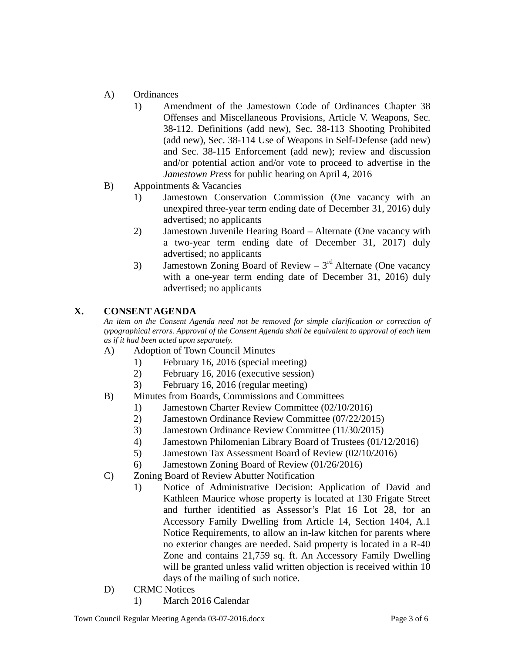- A) Ordinances
	- 1) Amendment of the Jamestown Code of Ordinances Chapter 38 Offenses and Miscellaneous Provisions, Article V. Weapons, Sec. 38-112. Definitions (add new), Sec. 38-113 Shooting Prohibited (add new), Sec. 38-114 Use of Weapons in Self-Defense (add new) and Sec. 38-115 Enforcement (add new); review and discussion and/or potential action and/or vote to proceed to advertise in the *Jamestown Press* for public hearing on April 4, 2016
- B) Appointments & Vacancies
	- 1) Jamestown Conservation Commission (One vacancy with an unexpired three-year term ending date of December 31, 2016) duly advertised; no applicants
	- 2) Jamestown Juvenile Hearing Board Alternate (One vacancy with a two-year term ending date of December 31, 2017) duly advertised; no applicants
	- 3) Jamestown Zoning Board of Review  $3<sup>rd</sup>$  Alternate (One vacancy with a one-year term ending date of December 31, 2016) duly advertised; no applicants

# **X. CONSENT AGENDA**

*An item on the Consent Agenda need not be removed for simple clarification or correction of typographical errors. Approval of the Consent Agenda shall be equivalent to approval of each item as if it had been acted upon separately.*

- A) Adoption of Town Council Minutes
	- 1) February 16, 2016 (special meeting)
	- 2) February 16, 2016 (executive session)
	- 3) February 16, 2016 (regular meeting)
- B) Minutes from Boards, Commissions and Committees
	- 1) Jamestown Charter Review Committee (02/10/2016)
	- 2) Jamestown Ordinance Review Committee (07/22/2015)
	- 3) Jamestown Ordinance Review Committee (11/30/2015)
	- 4) Jamestown Philomenian Library Board of Trustees (01/12/2016)
	- 5) Jamestown Tax Assessment Board of Review (02/10/2016)
	- 6) Jamestown Zoning Board of Review (01/26/2016)
- C) Zoning Board of Review Abutter Notification
	- 1) Notice of Administrative Decision: Application of David and Kathleen Maurice whose property is located at 130 Frigate Street and further identified as Assessor's Plat 16 Lot 28, for an Accessory Family Dwelling from Article 14, Section 1404, A.1 Notice Requirements, to allow an in-law kitchen for parents where no exterior changes are needed. Said property is located in a R-40 Zone and contains 21,759 sq. ft. An Accessory Family Dwelling will be granted unless valid written objection is received within 10 days of the mailing of such notice.
- D) CRMC Notices
	- 1) March 2016 Calendar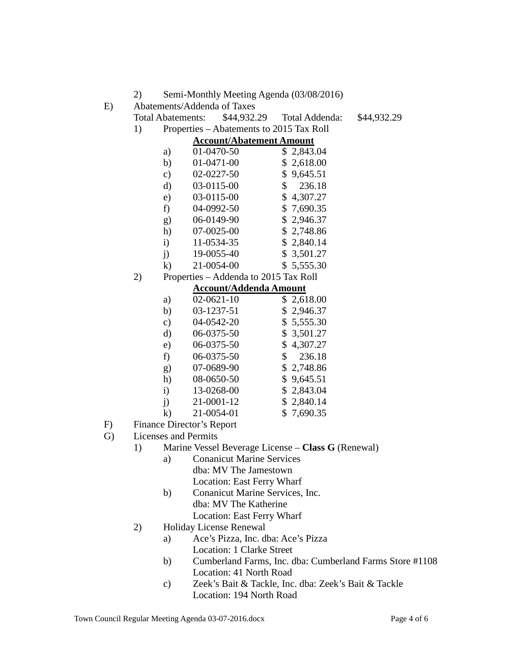2) Semi-Monthly Meeting Agenda (03/08/2016)

E) Abatements/Addenda of Taxes

Total Abatements: \$44,932.29 Total Addenda: \$44,932.29

1) Properties – Abatements to 2015 Tax Roll

|              | <b>Account/Abatement Amount</b> |    |            |
|--------------|---------------------------------|----|------------|
| a)           | 01-0470-50                      |    | \$2,843.04 |
| b)           | 01-0471-00                      |    | \$2,618.00 |
| $\circ$ )    | 02-0227-50                      |    | \$9,645.51 |
| d)           | 03-0115-00                      | \$ | 236.18     |
| e)           | 03-0115-00                      |    | \$4,307.27 |
| f)           | 04-0992-50                      |    | \$7,690.35 |
| g)           | 06-0149-90                      |    | \$2,946.37 |
| h)           | 07-0025-00                      |    | \$2,748.86 |
| $\mathbf{i}$ | 11-0534-35                      |    | \$2,840.14 |
| $\mathbf{i}$ | 19-0055-40                      |    | \$3,501.27 |
| $\bf k)$     | 21-0054-00                      |    | \$5,555.30 |

2) Properties – Addenda to 2015 Tax Roll

# **Account/Addenda Amount**

| a)            | $02 - 0621 - 10$ | \$2,618.00 |
|---------------|------------------|------------|
| b)            | 03-1237-51       | \$2,946.37 |
| $\mathbf{c})$ | 04-0542-20       | \$5,555.30 |
| d)            | 06-0375-50       | \$3,501.27 |
| e)            | 06-0375-50       | \$4,307.27 |
| f)            | 06-0375-50       | \$236.18   |
| g)            | 07-0689-90       | \$2,748.86 |
| h)            | 08-0650-50       | \$9,645.51 |
| $\ddot{i}$    | 13-0268-00       | \$2,843.04 |
| $\mathbf{i}$  | 21-0001-12       | \$2,840.14 |
| $\bf k$       | 21-0054-01       | \$7,690.35 |

- F) Finance Director's Report
- G) Licenses and Permits
	- 1) Marine Vessel Beverage License **Class G** (Renewal)
		- a) Conanicut Marine Services dba: MV The Jamestown Location: East Ferry Wharf
		- b) Conanicut Marine Services, Inc. dba: MV The Katherine Location: East Ferry Wharf
	- 2) Holiday License Renewal
		- a) Ace's Pizza, Inc. dba: Ace's Pizza Location: 1 Clarke Street
		- b) Cumberland Farms, Inc. dba: Cumberland Farms Store #1108 Location: 41 North Road
		- c) Zeek's Bait & Tackle, Inc. dba: Zeek's Bait & Tackle Location: 194 North Road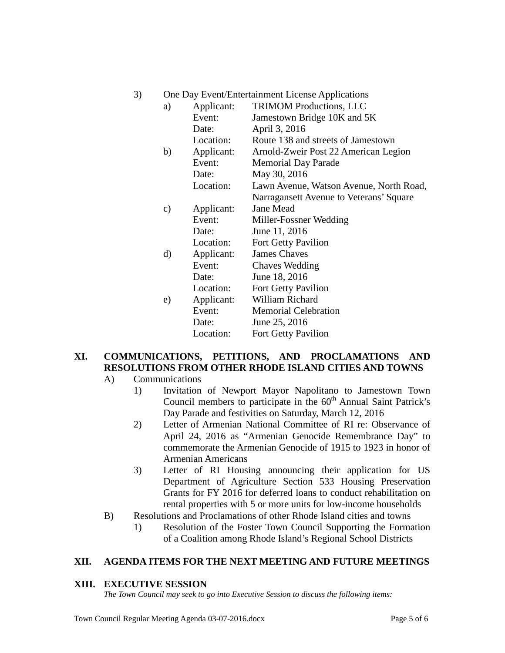| 3) | One Day Event/Entertainment License Applications |  |
|----|--------------------------------------------------|--|
|    |                                                  |  |

| a) | Applicant: | <b>TRIMOM Productions, LLC</b>          |
|----|------------|-----------------------------------------|
|    | Event:     | Jamestown Bridge 10K and 5K             |
|    | Date:      | April 3, 2016                           |
|    | Location:  | Route 138 and streets of Jamestown      |
| b) | Applicant: | Arnold-Zweir Post 22 American Legion    |
|    | Event:     | <b>Memorial Day Parade</b>              |
|    | Date:      | May 30, 2016                            |
|    | Location:  | Lawn Avenue, Watson Avenue, North Road, |
|    |            | Narragansett Avenue to Veterans' Square |
| c) | Applicant: | <b>Jane Mead</b>                        |
|    | Event:     | Miller-Fossner Wedding                  |
|    | Date:      | June 11, 2016                           |
|    | Location:  | <b>Fort Getty Pavilion</b>              |
| d) | Applicant: | <b>James Chaves</b>                     |
|    | Event:     | <b>Chaves Wedding</b>                   |
|    | Date:      | June 18, 2016                           |
|    | Location:  | <b>Fort Getty Pavilion</b>              |
| e) | Applicant: | William Richard                         |
|    | Event:     | <b>Memorial Celebration</b>             |
|    | Date:      | June 25, 2016                           |
|    | Location:  | <b>Fort Getty Pavilion</b>              |

# **XI. COMMUNICATIONS, PETITIONS, AND PROCLAMATIONS AND RESOLUTIONS FROM OTHER RHODE ISLAND CITIES AND TOWNS**

- A) Communications
	- 1) Invitation of Newport Mayor Napolitano to Jamestown Town Council members to participate in the  $60<sup>th</sup>$  Annual Saint Patrick's Day Parade and festivities on Saturday, March 12, 2016
	- 2) Letter of Armenian National Committee of RI re: Observance of April 24, 2016 as "Armenian Genocide Remembrance Day" to commemorate the Armenian Genocide of 1915 to 1923 in honor of Armenian Americans
	- 3) Letter of RI Housing announcing their application for US Department of Agriculture Section 533 Housing Preservation Grants for FY 2016 for deferred loans to conduct rehabilitation on rental properties with 5 or more units for low-income households
- B) Resolutions and Proclamations of other Rhode Island cities and towns
	- 1) Resolution of the Foster Town Council Supporting the Formation of a Coalition among Rhode Island's Regional School Districts

# **XII. AGENDA ITEMS FOR THE NEXT MEETING AND FUTURE MEETINGS**

### **XIII. EXECUTIVE SESSION**

*The Town Council may seek to go into Executive Session to discuss the following items:*